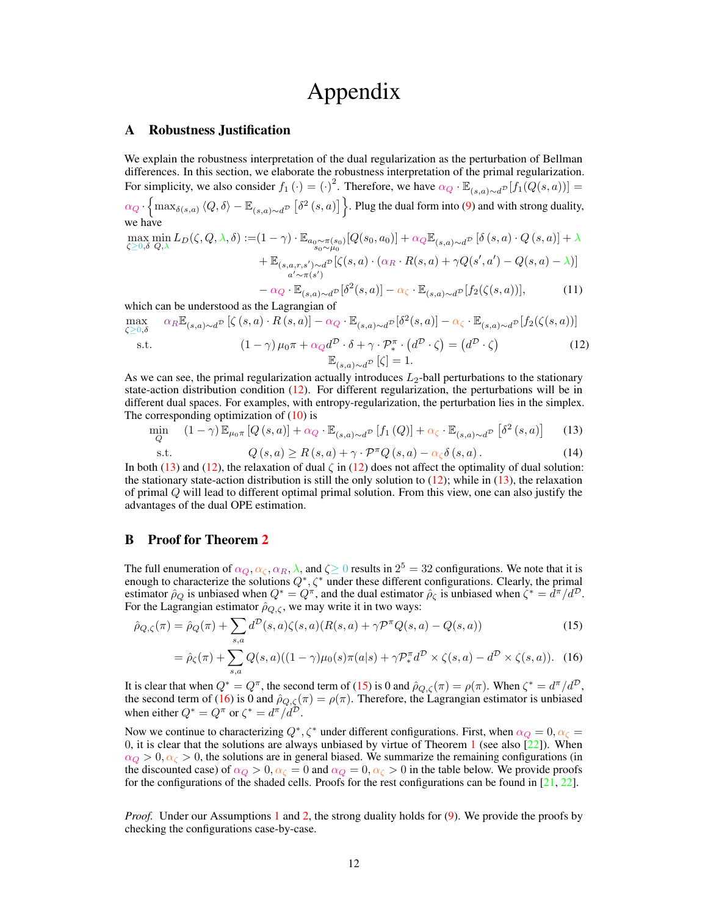# Appendix

# A Robustness Justification

 $\bar{\zeta}$ 

We explain the robustness interpretation of the dual regularization as the perturbation of Bellman differences. In this section, we elaborate the robustness interpretation of the primal regularization. For simplicity, we also consider  $f_1(\cdot) = (\cdot)^2$ . Therefore, we have  $\alpha_Q \cdot \mathbb{E}_{(s,a)\sim d}$   $[f_1(Q(s,a))]$  =  $\alpha_Q \cdot \left\{\max_{\delta(s,a)} \langle Q, \delta \rangle - \mathbb{E}_{(s,a)\sim d^{\mathcal{D}}}\left[\delta^2\left(s,a\right)\right]\right\}$ . Plug the dual form into [\(9\)](#page--1-0) and with strong duality, we have  $\mathbf n$ 

$$
\max_{\delta \in \mathcal{O}, \delta} \min_{Q, \lambda} L_D(\zeta, Q, \lambda, \delta) := (1 - \gamma) \cdot \mathbb{E}_{a_0 \sim \pi(s_0)}[Q(s_0, a_0)] + \alpha_Q \mathbb{E}_{(s, a) \sim d^{\mathcal{D}}}[\delta(s, a) \cdot Q(s, a)] + \lambda + \mathbb{E}_{(s, a, r, s') \sim d^{\mathcal{D}}}[\zeta(s, a) \cdot (\alpha_R \cdot R(s, a) + \gamma Q(s', a') - Q(s, a) - \lambda)]
$$
\n
$$
a' \sim \pi(s')
$$

$$
- \alpha_Q \cdot \mathbb{E}_{(s,a)\sim d^{\mathcal{D}}}[\delta^2(s,a)] - \alpha_\zeta \cdot \mathbb{E}_{(s,a)\sim d^{\mathcal{D}}}[f_2(\zeta(s,a))],
$$
(11)

which can be understood as the Lagrangian of

<span id="page-0-0"></span>
$$
\max_{\zeta \ge 0, \delta} \quad \alpha_R \mathbb{E}_{(s,a) \sim d^{\mathcal{D}}} \left[ \zeta(s,a) \cdot R(s,a) \right] - \alpha_Q \cdot \mathbb{E}_{(s,a) \sim d^{\mathcal{D}}} \left[ \delta^2(s,a) \right] - \alpha_\zeta \cdot \mathbb{E}_{(s,a) \sim d^{\mathcal{D}}} \left[ f_2(\zeta(s,a)) \right]
$$

s.t. 
$$
(1 - \gamma) \mu_0 \pi + \alpha_Q d^D \cdot \delta + \gamma \cdot \mathcal{P}_{*}^{\pi} \cdot (d^D \cdot \zeta) = (d^D \cdot \zeta)
$$
(12)  

$$
\mathbb{E}_{(s,a) \sim d^D} [\zeta] = 1.
$$

As we can see, the primal regularization actually introduces  $L_2$ -ball perturbations to the stationary state-action distribution condition [\(12\)](#page-0-0). For different regularization, the perturbations will be in different dual spaces. For examples, with entropy-regularization, the perturbation lies in the simplex. The corresponding optimization of  $(10)$  is

<span id="page-0-1"></span>
$$
\min_{Q} \quad (1 - \gamma) \mathbb{E}_{\mu_0 \pi} \left[ Q(s, a) \right] + \alpha_Q \cdot \mathbb{E}_{(s, a) \sim d^{\mathcal{D}}} \left[ f_1(Q) \right] + \alpha_\zeta \cdot \mathbb{E}_{(s, a) \sim d^{\mathcal{D}}} \left[ \delta^2(s, a) \right] \tag{13}
$$

s.t. 
$$
Q(s, a) \ge R(s, a) + \gamma \cdot \mathcal{P}^{\pi} Q(s, a) - \alpha_{\zeta} \delta(s, a). \tag{14}
$$

In both [\(13\)](#page-0-1) and [\(12\)](#page-0-0), the relaxation of dual  $\zeta$  in (12) does not affect the optimality of dual solution: the stationary state-action distribution is still the only solution to  $(12)$ ; while in  $(13)$ , the relaxation of primal Q will lead to different optimal primal solution. From this view, one can also justify the advantages of the dual OPE estimation.

## B Proof for Theorem [2](#page--1-2)

The full enumeration of  $\alpha_Q, \alpha_\zeta, \alpha_R, \lambda$ , and  $\zeta \ge 0$  results in  $2^5 = 32$  configurations. We note that it is enough to characterize the solutions  $Q^*, \zeta^*$  under these different configurations. Clearly, the primal estimator  $\hat{\rho}_Q$  is unbiased when  $Q^* = Q^{\pi}$ , and the dual estimator  $\hat{\rho}_{\zeta}$  is unbiased when  $\zeta^* = d^{\pi}/d^D$ . For the Lagrangian estimator  $\hat{\rho}_{Q,\zeta}$ , we may write it in two ways:

$$
\hat{\rho}_{Q,\zeta}(\pi) = \hat{\rho}_Q(\pi) + \sum_{s,a} d^{\mathcal{D}}(s,a)\zeta(s,a)(R(s,a) + \gamma \mathcal{P}^{\pi}Q(s,a) - Q(s,a))
$$
\n(15)

<span id="page-0-3"></span><span id="page-0-2"></span>
$$
= \hat{\rho}_{\zeta}(\pi) + \sum_{s,a} Q(s,a)((1-\gamma)\mu_0(s)\pi(a|s) + \gamma \mathcal{P}_*^{\pi} d^{\mathcal{D}} \times \zeta(s,a) - d^{\mathcal{D}} \times \zeta(s,a)). \tag{16}
$$

It is clear that when  $Q^* = Q^{\pi}$ , the second term of [\(15\)](#page-0-2) is 0 and  $\hat{\rho}_{Q,\zeta}(\pi) = \rho(\pi)$ . When  $\zeta^* = d^{\pi}/d^{\mathcal{D}}$ , the second term of [\(16\)](#page-0-3) is 0 and  $\hat{\rho}_{Q,\zeta}(\pi) = \rho(\pi)$ . Therefore, the Lagrangian estimator is unbiased when either  $Q^* = Q^{\pi}$  or  $\zeta^* = d^{\pi}/d^{\mathcal{D}}$ .

Now we continue to characterizing  $Q^*, \zeta^*$  under different configurations. First, when  $\alpha_Q = 0, \alpha_{\zeta} = 0$ 0, it is clear that the solutions are always unbiased by virtue of Theorem [1](#page--1-3) (see also  $[22]$ ). When  $\alpha_Q > 0$ ,  $\alpha_{\zeta} > 0$ , the solutions are in general biased. We summarize the remaining configurations (in the discounted case) of  $\alpha_Q > 0$ ,  $\alpha_{\zeta} = 0$  and  $\alpha_Q = 0$ ,  $\alpha_{\zeta} > 0$  in the table below. We provide proofs for the configurations of the shaded cells. Proofs for the rest configurations can be found in [\[21,](#page--1-5) [22\]](#page--1-4).

*Proof.* Under our Assumptions [1](#page--1-6) and [2,](#page--1-7) the strong duality holds for [\(9\)](#page--1-0). We provide the proofs by checking the configurations case-by-case.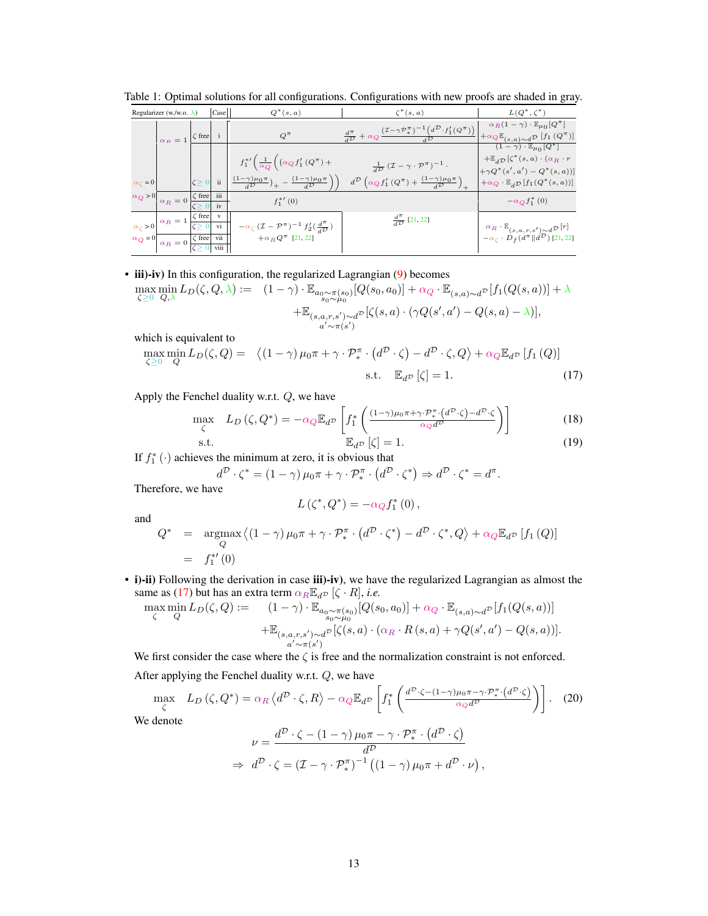| Regularizer (w./w.o. $\lambda$ ) |                                                            |                | Case <sup> </sup> | $Q^*(s,a)$                                                                                                                   | $\zeta^*(s,a)$                                                                                                                                                                              | $L(Q^*,\zeta^*)$                                                                                                                         |
|----------------------------------|------------------------------------------------------------|----------------|-------------------|------------------------------------------------------------------------------------------------------------------------------|---------------------------------------------------------------------------------------------------------------------------------------------------------------------------------------------|------------------------------------------------------------------------------------------------------------------------------------------|
|                                  | $\alpha_B=1$                                               | $\zeta$ free   |                   | $Q^{\pi}$                                                                                                                    | $\frac{d^{\pi}}{d^{\mathcal{D}}} + \alpha_Q \frac{(\mathcal{I} - \gamma \mathcal{P}_*^{\pi})^{-1} (d^{\mathcal{D}} \cdot f'_1(Q^{\pi}))}{\mathcal{D}}$                                      | $\alpha_R(1-\gamma) \cdot \mathbb{E}_{\mu_0}[\overline{Q^{\pi}}]$<br>$+\alpha Q\mathbb{E}_{(s,a)\sim d}p$ [f <sub>1</sub> ( $Q^{\pi}$ )] |
|                                  |                                                            |                |                   | $f_1^{*\prime}\left(\frac{1}{\alpha_Q}\right)\left(\alpha_Q f_1'\left(Q^\pi\right)+\right)$                                  |                                                                                                                                                                                             | $(1-\gamma)\cdot \mathbb{E}_{\mu_0}[Q^*]$<br>$+\mathbb{E}_{d}\mathcal{D}$ $\left[\zeta^*(s, a) \cdot (\alpha_R \cdot r)\right]$          |
| $\alpha_{\zeta} = 0$             |                                                            | $\zeta \geq 0$ | ii                | $\left(\frac{(1-\gamma)\mu_0\pi}{d^{\mathcal{D}}}\right)_+ - \left(\frac{(1-\gamma)\mu_0\pi}{d^{\mathcal{D}}}\right)\right)$ | $\frac{1}{d\mathcal{D}}(\mathcal{I}-\gamma\cdot\mathcal{P}^{\pi})^{-1}.$<br>$d^{\mathcal{D}}\left(\alpha_{Q}f_{1}'\left(Q^{\pi}\right)+\frac{(1-\gamma)\mu_{0}\pi}{d^{\mathcal{D}}}\right)$ | $+\gamma Q^*(s',a') - Q^*(s,a))$<br>$+\alpha_Q \cdot \mathbb{E}_{dD} [f_1(Q^*(s,a))]$                                                    |
| $\alpha_Q > 0$                   | $\alpha_R=0$                                               | $\zeta$ free   | iii<br>iv         | $f_{1}^{\ast}{}'$ (0)                                                                                                        |                                                                                                                                                                                             | $-\alpha_Q f_1^*$ (0)                                                                                                                    |
| $\alpha_c > 0$                   | $\alpha_R=1$                                               | $\zeta$ free   | vi                | $-\alpha_\zeta\,(\mathcal{I}-\mathcal{P}^\pi)^{-1}\,f_2^\prime(\frac{d^\pi}{d\mathcal{D}})$                                  | $\frac{d^n}{d^{\mathcal{D}}}$ [21, 22]                                                                                                                                                      | ${}^{\alpha}R \cdot \mathbb{E}_{(s,a,r,s') \sim d} \mathcal{D}^{[r]}$                                                                    |
| $\alpha_Q = 0$                   | $\sqrt{a_R} = 0 \frac{\zeta \text{ free}}{\text{ vi}}$ vii |                | viii              | $+\alpha_RQ^{\pi}$ [21, 22]                                                                                                  |                                                                                                                                                                                             | $-\alpha_\zeta \cdot D_f(d^\pi\ d^\mathcal{D})$ [21, 22]                                                                                 |

Table 1: Optimal solutions for all configurations. Configurations with new proofs are shaded in gray.

<span id="page-1-0"></span>• iii)-iv) In this configuration, the regularized Lagrangian [\(9\)](#page--1-0) becomes  $\max_{\zeta \geq 0} \min_{Q, \lambda} L_D(\zeta, Q, \lambda) := \left(1 - \gamma\right) \cdot \mathbb{E}_{a_0 \sim \pi(s_0)}[Q(s_0, a_0)] + \alpha_Q \cdot \mathbb{E}_{(s, a) \sim d} \mathbb{P}[f_1(Q(s, a))] + \lambda$ 

$$
\begin{aligned} Q,\lambda & \xrightarrow{\begin{subarray}{c} S_0 \sim \mu_0 \\ \vdots \\ S_{(s,a,r,s')} \sim d^D \end{subarray}} \left[ \zeta(s,a) \cdot (\gamma Q(s',a') - Q(s,a) - \lambda) \right], \end{aligned}
$$

which is equivalent to

$$
\max_{\zeta \ge 0} \min_{Q} L_D(\zeta, Q) = \langle (1 - \gamma) \mu_0 \pi + \gamma \cdot \mathcal{P}_*^{\pi} \cdot (d^D \cdot \zeta) - d^D \cdot \zeta, Q \rangle + \alpha_Q \mathbb{E}_{d^D} [f_1(Q)]
$$
  
s.t. 
$$
\mathbb{E}_{d^D} [\zeta] = 1.
$$
 (17)

Apply the Fenchel duality w.r.t. Q, we have

$$
\max_{\zeta} L_D(\zeta, Q^*) = -\alpha_Q \mathbb{E}_{d^D} \left[ f_1^* \left( \frac{(1-\gamma)\mu_0 \pi + \gamma \cdot \mathcal{P}_*^{\pi} \cdot (d^D \cdot \zeta) - d^D \cdot \zeta}{\alpha_Q d^D} \right) \right]
$$
(18)

s.t. 
$$
\mathbb{E}_{d^{\mathcal{D}}}[\zeta] = 1.
$$
 (19)

If  $f_1^*$  ( $\cdot$ ) achieves the minimum at zero, it is obvious that

$$
d^{\mathcal{D}} \cdot \zeta^* = (1 - \gamma) \mu_0 \pi + \gamma \cdot \mathcal{P}_*^{\pi} \cdot (d^{\mathcal{D}} \cdot \zeta^*) \Rightarrow d^{\mathcal{D}} \cdot \zeta^* = d^{\pi}.
$$
 Therefore, we have

herefore, we hav

$$
L(\zeta^*, Q^*) = -\alpha_Q f_1^*(0) \,,
$$

and

$$
Q^* = \underset{Q}{\operatorname{argmax}} \left\langle (1 - \gamma) \mu_0 \pi + \gamma \cdot \mathcal{P}_*^{\pi} \cdot \left( d^D \cdot \zeta^* \right) - d^D \cdot \zeta^*, Q \right\rangle + \alpha_Q \mathbb{E}_{d^D} \left[ f_1 \left( Q \right) \right]
$$
  
=  $f_1^{*'}(0)$ 

• i)-ii) Following the derivation in case iii)-iv), we have the regularized Lagrangian as almost the same as [\(17\)](#page-1-0) but has an extra term  $\alpha_R \mathbb{E}_{d^D}$  [ $\zeta \cdot R$ ], *i.e.* 

$$
\max_{\zeta} \min_{Q} L_D(\zeta, Q) := \left(1 - \gamma\right) \cdot \mathbb{E}_{\substack{a_0 \sim \pi(s_0) \\ s_0 \sim \mu_0}}[Q(s_0, a_0)] + \alpha_Q \cdot \mathbb{E}_{(s, a) \sim d^D}[f_1(Q(s, a))]
$$

$$
+ \mathbb{E}_{(s, a, r, s') \sim d^D}[\zeta(s, a) \cdot (\alpha_R \cdot R(s, a) + \gamma Q(s', a') - Q(s, a))].
$$

We first consider the case where the  $\zeta$  is free and the normalization constraint is not enforced. After applying the Fenchel duality w.r.t. Q, we have

$$
\max_{\zeta} L_D(\zeta, Q^*) = \alpha_R \left\langle d^D \cdot \zeta, R \right\rangle - \alpha_Q \mathbb{E}_{d^D} \left[ f_1^* \left( \frac{d^D \cdot \zeta - (1 - \gamma)\mu_0 \pi - \gamma \cdot \mathcal{P}_*^{\pi} \cdot (d^D \cdot \zeta)}{\alpha_Q d^D} \right) \right]. \tag{20}
$$
\n
$$
\text{We denote}
$$
\n
$$
\nu = \frac{d^D \cdot \zeta - (1 - \gamma)\mu_0 \pi - \gamma \cdot \mathcal{P}_*^{\pi} \cdot (d^D \cdot \zeta)}{d^D}
$$
\n
$$
\Rightarrow d^D \cdot \zeta = (\mathcal{I} - \gamma \cdot \mathcal{P}_*^{\pi})^{-1} \left( (1 - \gamma)\mu_0 \pi + d^D \cdot \nu \right),
$$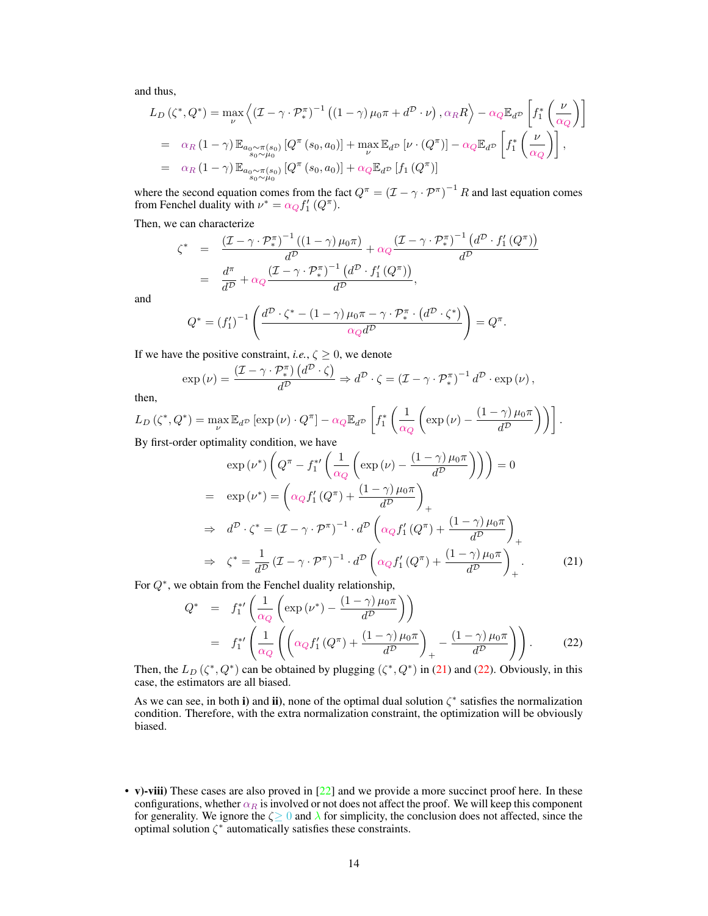and thus,

$$
L_D(\zeta^*, Q^*) = \max_{\nu} \left\langle (\mathcal{I} - \gamma \cdot \mathcal{P}_*^{\pi})^{-1} ((1 - \gamma) \mu_0 \pi + d^{\mathcal{D}} \cdot \nu), \alpha_R R \right\rangle - \alpha_Q \mathbb{E}_{d^{\mathcal{D}}}\left[ f_1^* \left( \frac{\nu}{\alpha_Q} \right) \right]
$$
  
=  $\alpha_R (1 - \gamma) \mathbb{E}_{a_0 \sim \pi(s_0)} [Q^{\pi}(s_0, a_0)] + \max_{\nu} \mathbb{E}_{d^{\mathcal{D}}}[ \nu \cdot (Q^{\pi})] - \alpha_Q \mathbb{E}_{d^{\mathcal{D}}}\left[ f_1^* \left( \frac{\nu}{\alpha_Q} \right) \right],$   
=  $\alpha_R (1 - \gamma) \mathbb{E}_{a_0 \sim \pi(s_0)} [Q^{\pi}(s_0, a_0)] + \alpha_Q \mathbb{E}_{d^{\mathcal{D}}}[f_1(Q^{\pi})]$ 

where the second equation comes from the fact  $Q^{\pi} = (\mathcal{I} - \gamma \cdot \mathcal{P}^{\pi})^{-1} R$  and last equation comes from Fenchel duality with  $\nu^* = \alpha_Q f'_1 (Q^{\pi}).$ 

Then, we can characterize

$$
\zeta^* = \frac{(\mathcal{I} - \gamma \cdot \mathcal{P}_*^{\pi})^{-1} ((1 - \gamma) \mu_0 \pi)}{d^{\mathcal{D}}} + \alpha_Q \frac{(\mathcal{I} - \gamma \cdot \mathcal{P}_*^{\pi})^{-1} (d^{\mathcal{D}} \cdot f'_1 (Q^{\pi}))}{d^{\mathcal{D}}}
$$

$$
= \frac{d^{\pi}}{d^{\mathcal{D}}} + \alpha_Q \frac{(\mathcal{I} - \gamma \cdot \mathcal{P}_*^{\pi})^{-1} (d^{\mathcal{D}} \cdot f'_1 (Q^{\pi}))}{d^{\mathcal{D}}},
$$

and

$$
Q^* = (f_1')^{-1} \left( \frac{d^{\mathcal{D}} \cdot \zeta^* - (1 - \gamma) \mu_0 \pi - \gamma \cdot \mathcal{P}_*^{\pi} \cdot (d^{\mathcal{D}} \cdot \zeta^*)}{\alpha_Q d^{\mathcal{D}}} \right) = Q^{\pi}.
$$

If we have the positive constraint, *i.e.*,  $\zeta \ge 0$ , we denote

$$
\exp(\nu) = \frac{(\mathcal{I} - \gamma \cdot \mathcal{P}_{*}^{\pi}) (d^{\mathcal{D}} \cdot \zeta)}{d^{\mathcal{D}}} \Rightarrow d^{\mathcal{D}} \cdot \zeta = (\mathcal{I} - \gamma \cdot \mathcal{P}_{*}^{\pi})^{-1} d^{\mathcal{D}} \cdot \exp(\nu),
$$

then,

$$
L_D\left(\zeta^*, Q^*\right) = \max_{\nu} \mathbb{E}_{d^{\mathcal{D}}}\left[\exp\left(\nu\right) \cdot Q^{\pi}\right] - \alpha_Q \mathbb{E}_{d^{\mathcal{D}}}\left[f_1^*\left(\frac{1}{\alpha_Q}\left(\exp\left(\nu\right) - \frac{\left(1-\gamma\right)\mu_0\pi}{d^{\mathcal{D}}}\right)\right)\right].
$$
  
By first-order optimality condition we have

By first-order optimality condition, we have

<span id="page-2-0"></span>
$$
\exp(\nu^*)\left(Q^{\pi} - f_1^{*\prime}\left(\frac{1}{\alpha_Q}\left(\exp(\nu) - \frac{(1-\gamma)\mu_0\pi}{d^D}\right)\right)\right) = 0
$$
  
\n
$$
= \exp(\nu^*) = \left(\alpha_Q f_1' (Q^{\pi}) + \frac{(1-\gamma)\mu_0\pi}{d^D}\right)_+
$$
  
\n
$$
\Rightarrow d^D \cdot \zeta^* = (\mathcal{I} - \gamma \cdot \mathcal{P}^{\pi})^{-1} \cdot d^D \left(\alpha_Q f_1' (Q^{\pi}) + \frac{(1-\gamma)\mu_0\pi}{d^D}\right)_+
$$
  
\n
$$
\Rightarrow \zeta^* = \frac{1}{d^D} (\mathcal{I} - \gamma \cdot \mathcal{P}^{\pi})^{-1} \cdot d^D \left(\alpha_Q f_1' (Q^{\pi}) + \frac{(1-\gamma)\mu_0\pi}{d^D}\right)_+ .
$$
 (21)

For  $Q^*$ , we obtain from the Fenchel duality relationship,

<span id="page-2-1"></span>
$$
Q^* = f_1^{*'} \left( \frac{1}{\alpha_Q} \left( \exp \left( \nu^* \right) - \frac{(1 - \gamma) \mu_0 \pi}{d^D} \right) \right)
$$
  
=  $f_1^{*'} \left( \frac{1}{\alpha_Q} \left( \left( \alpha_Q f_1' \left( Q^{\pi} \right) + \frac{(1 - \gamma) \mu_0 \pi}{d^D} \right)_+ - \frac{(1 - \gamma) \mu_0 \pi}{d^D} \right) \right).$  (22)

Then, the  $L_D(\zeta^*, Q^*)$  can be obtained by plugging  $(\zeta^*, Q^*)$  in [\(21\)](#page-2-0) and [\(22\)](#page-2-1). Obviously, in this case, the estimators are all biased.

As we can see, in both i) and ii), none of the optimal dual solution  $\zeta^*$  satisfies the normalization condition. Therefore, with the extra normalization constraint, the optimization will be obviously biased.

• v)-viii) These cases are also proved in [\[22\]](#page--1-4) and we provide a more succinct proof here. In these configurations, whether  $\alpha_R$  is involved or not does not affect the proof. We will keep this component for generality. We ignore the  $\zeta \geq 0$  and  $\lambda$  for simplicity, the conclusion does not affected, since the optimal solution  $\zeta^*$  automatically satisfies these constraints.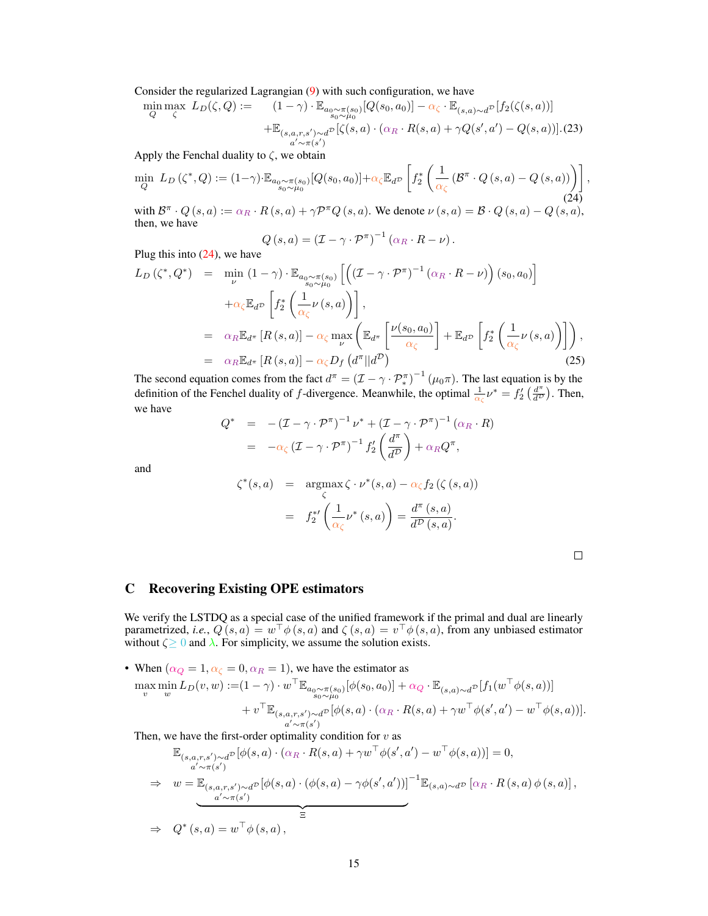Consider the regularized Lagrangian [\(9\)](#page--1-0) with such configuration, we have

$$
\min_{Q} \max_{\zeta} L_D(\zeta, Q) := \left(1 - \gamma\right) \cdot \mathbb{E}_{a_0 \sim \pi(s_0)}[Q(s_0, a_0)] - \alpha_{\zeta} \cdot \mathbb{E}_{(s, a) \sim d^{\mathcal{D}}}[f_2(\zeta(s, a))]
$$

$$
+ \mathbb{E}_{(s, a, r, s') \sim d^{\mathcal{D}}}[\zeta(s, a) \cdot (\alpha_R \cdot R(s, a) + \gamma Q(s', a') - Q(s, a))]. (23)
$$

Apply the Fenchal duality to  $\zeta$ , we obtain

$$
\min_{Q} L_D(\zeta^*, Q) := (1 - \gamma) \cdot \mathbb{E}_{\substack{a_0 \sim \pi(s_0) \\ s_0 \sim \mu_0}}[Q(s_0, a_0)] + \alpha_{\zeta} \mathbb{E}_{d^{\mathcal{D}}}\left[f_2^* \left(\frac{1}{\alpha_{\zeta}} \left(\mathcal{B}^{\pi} \cdot Q\left(s, a\right) - Q\left(s, a\right)\right)\right)\right],\tag{24}
$$

with  $\mathcal{B}^{\pi} \cdot Q(s, a) := \alpha_R \cdot R(s, a) + \gamma \mathcal{P}^{\pi} Q(s, a)$ . We denote  $\nu(s, a) = \mathcal{B} \cdot Q(s, a) - Q(s, a)$ , then, we have

<span id="page-3-0"></span>
$$
Q(s, a) = (\mathcal{I} - \gamma \cdot \mathcal{P}^{\pi})^{-1} (\alpha_R \cdot R - \nu).
$$

Plug this into [\(24\)](#page-3-0), we have

$$
L_D(\zeta^*, Q^*) = \min_{\nu} (1 - \gamma) \cdot \mathbb{E}_{a_0 \sim \pi(s_0)} \left[ \left( (\mathcal{I} - \gamma \cdot \mathcal{P}^{\pi})^{-1} (\alpha_R \cdot R - \nu) \right) (s_0, a_0) \right] + \alpha_{\zeta} \mathbb{E}_{d} \mathbb{P} \left[ f_2^* \left( \frac{1}{\alpha_{\zeta}} \nu(s, a) \right) \right],
$$
  
=  $\alpha_R \mathbb{E}_{d^{\pi}} \left[ R(s, a) \right] - \alpha_{\zeta} \max_{\nu} \left( \mathbb{E}_{d^{\pi}} \left[ \frac{\nu(s_0, a_0)}{\alpha_{\zeta}} \right] + \mathbb{E}_{d} \mathbb{P} \left[ f_2^* \left( \frac{1}{\alpha_{\zeta}} \nu(s, a) \right) \right] \right),$   
=  $\alpha_R \mathbb{E}_{d^{\pi}} \left[ R(s, a) \right] - \alpha_{\zeta} D_f \left( d^{\pi} || d^D \right)$  (25)

The second equation comes from the fact  $d^{\pi} = (\mathcal{I} - \gamma \cdot \mathcal{P}_{*}^{\pi})^{-1} (\mu_0 \pi)$ . The last equation is by the definition of the Fenchel duality of f-divergence. Meanwhile, the optimal  $\frac{1}{\alpha_{\zeta}}\nu^* = f'_2\left(\frac{d^{\pi}}{d^{\zeta}}\right)$  $\frac{d^{\pi}}{d^{\mathcal{D}}}\big)$ . Then, we have

$$
Q^* = -(I - \gamma \cdot \mathcal{P}^{\pi})^{-1} \nu^* + (I - \gamma \cdot \mathcal{P}^{\pi})^{-1} (\alpha_R \cdot R)
$$
  
=  $-\alpha_{\zeta} (I - \gamma \cdot \mathcal{P}^{\pi})^{-1} f'_2 \left( \frac{d^{\pi}}{d^{\mathcal{D}}} \right) + \alpha_R Q^{\pi},$ 

and

$$
\zeta^*(s, a) = \underset{\zeta}{\text{argmax}} \zeta \cdot \nu^*(s, a) - \alpha_{\zeta} f_2(\zeta(s, a))
$$

$$
= f_2^{*\prime} \left( \frac{1}{\alpha_{\zeta}} \nu^*(s, a) \right) = \frac{d^{\pi}(s, a)}{d^{\mathcal{D}}(s, a)}.
$$

# C Recovering Existing OPE estimators

We verify the LSTDQ as a special case of the unified framework if the primal and dual are linearly parametrized, *i.e.*,  $Q(s, a) = w^{\top} \phi(s, a)$  and  $\zeta(s, a) = v^{\top} \phi(s, a)$ , from any unbiased estimator without  $\zeta \geq 0$  and  $\lambda$ . For simplicity, we assume the solution exists.

• When  $(\alpha_Q = 1, \alpha_{\zeta} = 0, \alpha_R = 1)$ , we have the estimator as

$$
\max_{v} \min_{w} L_D(v, w) := (1 - \gamma) \cdot w^\top \mathbb{E}_{a_0 \sim \pi(s_0)} [\phi(s_0, a_0)] + \alpha_Q \cdot \mathbb{E}_{(s, a) \sim d^{\mathcal{D}}}[f_1(w^\top \phi(s, a))] + v^\top \mathbb{E}_{(s, a, r, s') \sim d^{\mathcal{D}}} [\phi(s, a) \cdot (\alpha_R \cdot R(s, a) + \gamma w^\top \phi(s', a') - w^\top \phi(s, a))].
$$

Then, we have the first-order optimality condition for  $v$  as

$$
\mathbb{E}_{(s,a,r,s')\sim d^D}[\phi(s,a)\cdot(\alpha_R\cdot R(s,a)+\gamma w^\top\phi(s',a')-w^\top\phi(s,a))]=0,
$$
\n
$$
\Rightarrow w=\mathbb{E}_{(s,a,r,s')\sim d^D}[\phi(s,a)\cdot(\phi(s,a)-\gamma\phi(s',a'))]^{-1}\mathbb{E}_{(s,a)\sim d^D}[\alpha_R\cdot R(s,a)\phi(s,a)],
$$
\n
$$
\Rightarrow Q^*(s,a)=w^\top\phi(s,a),
$$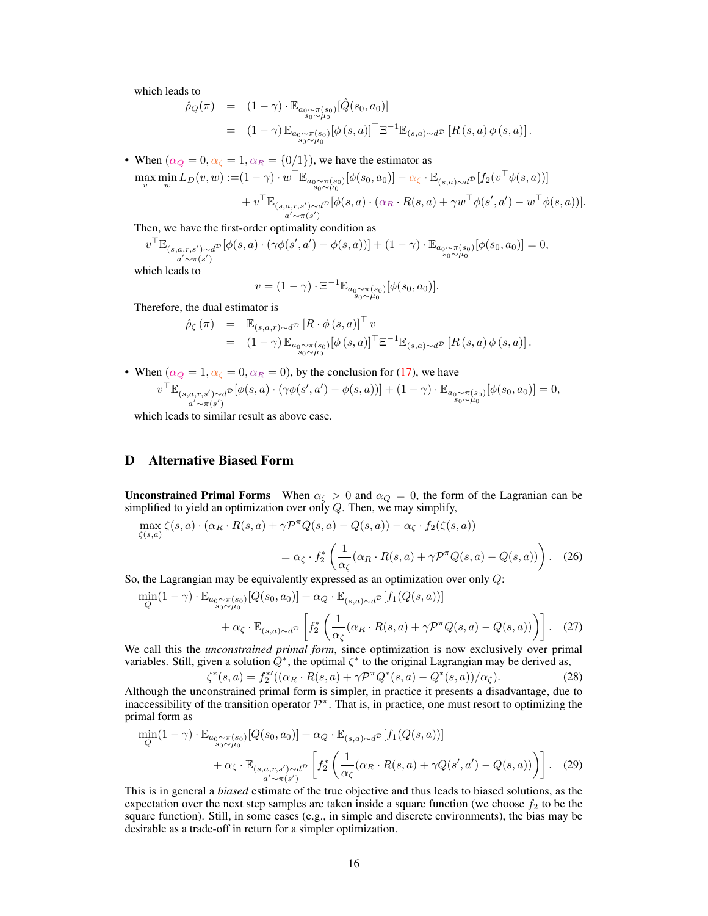which leads to

$$
\hat{\rho}_Q(\pi) = (1 - \gamma) \cdot \mathbb{E}_{\substack{a_0 \sim \pi(s_0) \\ s_0 \sim \mu_0}} [\hat{Q}(s_0, a_0)] \n= (1 - \gamma) \mathbb{E}_{\substack{a_0 \sim \pi(s_0) \\ s_0 \sim \mu_0}} [\phi(s, a)]^\top \Xi^{-1} \mathbb{E}_{(s, a) \sim d} p [R(s, a) \phi(s, a)].
$$

• When  $(\alpha_Q = 0, \alpha_{\zeta} = 1, \alpha_R = \{0/1\})$ , we have the estimator as

$$
\max_{v} \min_{w} L_D(v, w) := (1 - \gamma) \cdot w^\top \mathbb{E}_{a_0 \sim \pi(s_0)}[\phi(s_0, a_0)] - \alpha_{\zeta} \cdot \mathbb{E}_{(s, a) \sim d^D}[f_2(v^\top \phi(s, a))]
$$
  
+ 
$$
v^\top \mathbb{E}_{(s, a, r, s') \sim d^D}[\phi(s, a) \cdot (\alpha_R \cdot R(s, a) + \gamma w^\top \phi(s', a') - w^\top \phi(s, a))].
$$

Then, we have the first-order optimality condition as

$$
v^\top \mathbb{E}_{\substack{(s,a,r,s') \sim d^{\mathcal{D}} \\ a'\sim \pi(s')}} [\phi(s,a)\cdot (\gamma\phi(s',a')-\phi(s,a))] + (1-\gamma)\cdot \mathbb{E}_{\substack{a_0 \sim \pi(s_0) \\ s_0 \sim \mu_0}} [\phi(s_0,a_0)] = 0,
$$

which leads to

$$
v = (1 - \gamma) \cdot \Xi^{-1} \mathbb{E}_{a_0 \sim \pi(s_0) \atop s_0 \sim \mu_0} [\phi(s_0, a_0)].
$$

Therefore, the dual estimator is

$$
\hat{\rho}_{\zeta}(\pi) = \mathbb{E}_{(s,a,r)\sim d^{\mathcal{D}}}\left[R \cdot \phi(s,a)\right]^{\top} v
$$
  
\n
$$
= (1-\gamma) \mathbb{E}_{a_0 \sim \pi(s_0)}[\phi(s,a)]^{\top} \Xi^{-1} \mathbb{E}_{(s,a)\sim d^{\mathcal{D}}}\left[R(s,a) \phi(s,a)\right].
$$

• When  $(\alpha_Q = 1, \alpha_{\zeta} = 0, \alpha_R = 0)$ , by the conclusion for [\(17\)](#page-1-0), we have  $v^{\top} \mathbb{E}_{(s,a,r,s') \sim d^{\mathcal{D}}}$  $a' \sim \pi(s')$  $\sum_{\substack{a \neq b}} \mathbb{P}\left[\phi(s, a) \cdot (\gamma \phi(s', a') - \phi(s, a))\right] + (1 - \gamma) \cdot \mathbb{E}_{\substack{a_0 \sim \pi(s_0) \\ s_0 \sim \mu_0}}[\phi(s_0, a_0)] = 0,$ 

which leads to similar result as above case.

# D Alternative Biased Form

**Unconstrained Primal Forms** When  $\alpha_{\zeta} > 0$  and  $\alpha_{Q} = 0$ , the form of the Lagranian can be simplified to yield an optimization over only  $Q$ . Then, we may simplify,

$$
\max_{\zeta(s,a)} \zeta(s,a) \cdot (\alpha_R \cdot R(s,a) + \gamma \mathcal{P}^\pi Q(s,a) - Q(s,a)) - \alpha_\zeta \cdot f_2(\zeta(s,a))
$$
  
=  $\alpha_\zeta \cdot f_2^* \left( \frac{1}{\alpha_\zeta} (\alpha_R \cdot R(s,a) + \gamma \mathcal{P}^\pi Q(s,a) - Q(s,a)) \right).$  (26)

So, the Lagrangian may be equivalently expressed as an optimization over only Q:

$$
\min_{Q} (1 - \gamma) \cdot \mathbb{E}_{a_0 \sim \pi(s_0)}[Q(s_0, a_0)] + \alpha_Q \cdot \mathbb{E}_{(s, a) \sim d^{\mathcal{D}}}[f_1(Q(s, a))]
$$
  
+  $\alpha_{\zeta} \cdot \mathbb{E}_{(s, a) \sim d^{\mathcal{D}}}\left[f_2^* \left(\frac{1}{\alpha_{\zeta}}(\alpha_R \cdot R(s, a) + \gamma \mathcal{P}^{\pi} Q(s, a) - Q(s, a))\right)\right].$  (27)

We call this the *unconstrained primal form*, since optimization is now exclusively over primal variables. Still, given a solution  $Q^*$ , the optimal  $\zeta^*$  to the original Lagrangian may be derived as,

$$
\zeta^*(s, a) = f_2^{*'}((\alpha_R \cdot R(s, a) + \gamma \mathcal{P}^\pi Q^*(s, a) - Q^*(s, a))/\alpha_\zeta).
$$
 (28)

Although the unconstrained primal form is simpler, in practice it presents a disadvantage, due to inaccessibility of the transition operator  $\mathcal{P}^{\pi}$ . That is, in practice, one must resort to optimizing the primal form as

$$
\min_{Q} (1 - \gamma) \cdot \mathbb{E}_{\substack{a_0 \sim \pi(s_0) \\ s_0 \sim \mu_0}} [Q(s_0, a_0)] + \alpha_Q \cdot \mathbb{E}_{(s, a) \sim d^{\mathcal{D}}}[f_1(Q(s, a))]
$$
  
+  $\alpha_{\zeta} \cdot \mathbb{E}_{(s, a, r, s') \sim d^{\mathcal{D}}}[f_2^* \left( \frac{1}{\alpha_{\zeta}} (\alpha_R \cdot R(s, a) + \gamma Q(s', a') - Q(s, a)) \right)].$  (29)

This is in general a *biased* estimate of the true objective and thus leads to biased solutions, as the expectation over the next step samples are taken inside a square function (we choose  $f_2$  to be the square function). Still, in some cases (e.g., in simple and discrete environments), the bias may be desirable as a trade-off in return for a simpler optimization.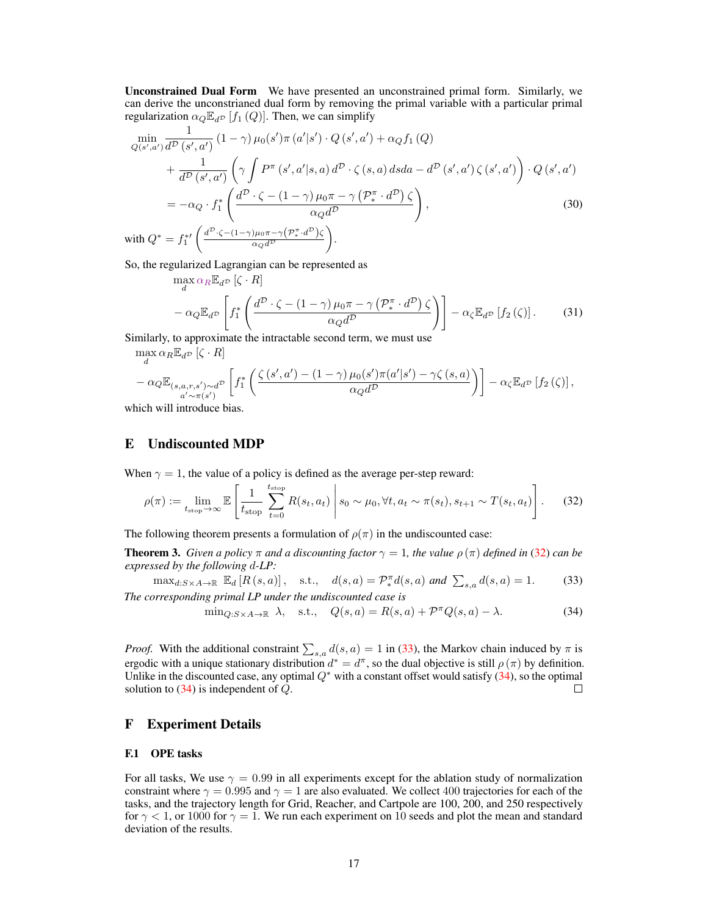Unconstrained Dual Form We have presented an unconstrained primal form. Similarly, we can derive the unconstrianed dual form by removing the primal variable with a particular primal regularization  $\alpha_Q \mathbb{E}_{d^D} [f_1(Q)]$ . Then, we can simplify

$$
\min_{Q(s',a')} \frac{1}{d^{\mathcal{D}}(s',a')} (1-\gamma) \mu_0(s') \pi(a'|s') \cdot Q(s',a') + \alpha_Q f_1(Q)
$$
\n
$$
+ \frac{1}{d^{\mathcal{D}}(s',a')} \left( \gamma \int P^{\pi}(s',a'|s,a) d^{\mathcal{D}} \cdot \zeta(s,a) dsda - d^{\mathcal{D}}(s',a') \zeta(s',a') \right) \cdot Q(s',a')
$$
\n
$$
= -\alpha_Q \cdot f_1^* \left( \frac{d^{\mathcal{D}} \cdot \zeta - (1-\gamma) \mu_0 \pi - \gamma \left( \mathcal{P}_*^{\pi} \cdot d^{\mathcal{D}} \right) \zeta}{\alpha_Q d^{\mathcal{D}}} \right),
$$
\n
$$
\text{with } Q^* = f_1^{*\prime} \left( \frac{d^{\mathcal{D}} \cdot \zeta - (1-\gamma) \mu_0 \pi - \gamma \left( \mathcal{P}_*^{\pi} \cdot d^{\mathcal{D}} \right) \zeta}{\alpha_Q d^{\mathcal{D}}} \right).
$$
\n
$$
(30)
$$

So, the regularized Lagrangian can be represented as

$$
\max_{d} \alpha_{R} \mathbb{E}_{d} \left[ \zeta \cdot R \right] \n- \alpha_{Q} \mathbb{E}_{d} \left[ f_{1}^{*} \left( \frac{d^{D} \cdot \zeta - (1 - \gamma) \mu_{0} \pi - \gamma \left( \mathcal{P}_{*}^{\pi} \cdot d^{D} \right) \zeta}{\alpha_{Q} d^{D}} \right) \right] - \alpha_{\zeta} \mathbb{E}_{d} \left[ f_{2} \left( \zeta \right) \right].
$$
\n(31)

Similarly, to approximate the intractable second term, we must use

 $\max_{d} \alpha_R \mathbb{E}_{d^{\mathcal{D}}} [\zeta \cdot R]$ 

$$
-\alpha_{Q} \mathbb{E}_{\substack{(s,a,r,s') \sim d^{\mathcal{D}} \\ a'\sim \pi(s')}} \left[ f_1^* \left( \frac{\zeta\left(s',a'\right) - (1-\gamma)\mu_0(s')\pi(a'|s') - \gamma\zeta\left(s,a\right)}{\alpha_{Q}d^{\mathcal{D}}} \right) \right] - \alpha_{\zeta} \mathbb{E}_{d^{\mathcal{D}}}\left[f_2\left(\zeta\right)\right],
$$

which will introduce bias.

# E Undiscounted MDP

When  $\gamma = 1$ , the value of a policy is defined as the average per-step reward:

$$
\rho(\pi) := \lim_{t_{\text{stop}} \to \infty} \mathbb{E}\left[\frac{1}{t_{\text{stop}}}\sum_{t=0}^{t_{\text{stop}}} R(s_t, a_t) \middle| s_0 \sim \mu_0, \forall t, a_t \sim \pi(s_t), s_{t+1} \sim T(s_t, a_t)\right].
$$
 (32)

The following theorem presents a formulation of  $\rho(\pi)$  in the undiscounted case:

**Theorem 3.** *Given a policy*  $\pi$  *and a discounting factor*  $\gamma = 1$ *, the value*  $\rho(\pi)$  *defined in* [\(32\)](#page-5-0) *can be expressed by the following* d*-LP:*

$$
\max_{d:S \times A \to \mathbb{R}} \mathbb{E}_d [R(s, a)], \quad \text{s.t.,} \quad d(s, a) = \mathcal{P}_*^{\pi} d(s, a) \text{ and } \sum_{s,a} d(s, a) = 1. \tag{33}
$$
  
The corresponding primal LP under the undiscounted case is

<span id="page-5-2"></span><span id="page-5-1"></span><span id="page-5-0"></span>
$$
\min_{Q:S\times A\to\mathbb{R}} \lambda, \quad \text{s.t.,} \quad Q(s,a) = R(s,a) + \mathcal{P}^{\pi}Q(s,a) - \lambda. \tag{34}
$$

*Proof.* With the additional constraint  $\sum_{s,a} d(s,a) = 1$  in [\(33\)](#page-5-1), the Markov chain induced by  $\pi$  is ergodic with a unique stationary distribution  $d^* = d^{\pi}$ , so the dual objective is still  $\rho(\pi)$  by definition. Unlike in the discounted case, any optimal  $Q^*$  with a constant offset would satisfy  $(34)$ , so the optimal solution to  $(34)$  is independent of Q.  $\Box$ 

# F Experiment Details

#### F.1 OPE tasks

For all tasks, We use  $\gamma = 0.99$  in all experiments except for the ablation study of normalization constraint where  $\gamma = 0.995$  and  $\gamma = 1$  are also evaluated. We collect 400 trajectories for each of the tasks, and the trajectory length for Grid, Reacher, and Cartpole are 100, 200, and 250 respectively for  $\gamma$  < 1, or 1000 for  $\gamma$  = 1. We run each experiment on 10 seeds and plot the mean and standard deviation of the results.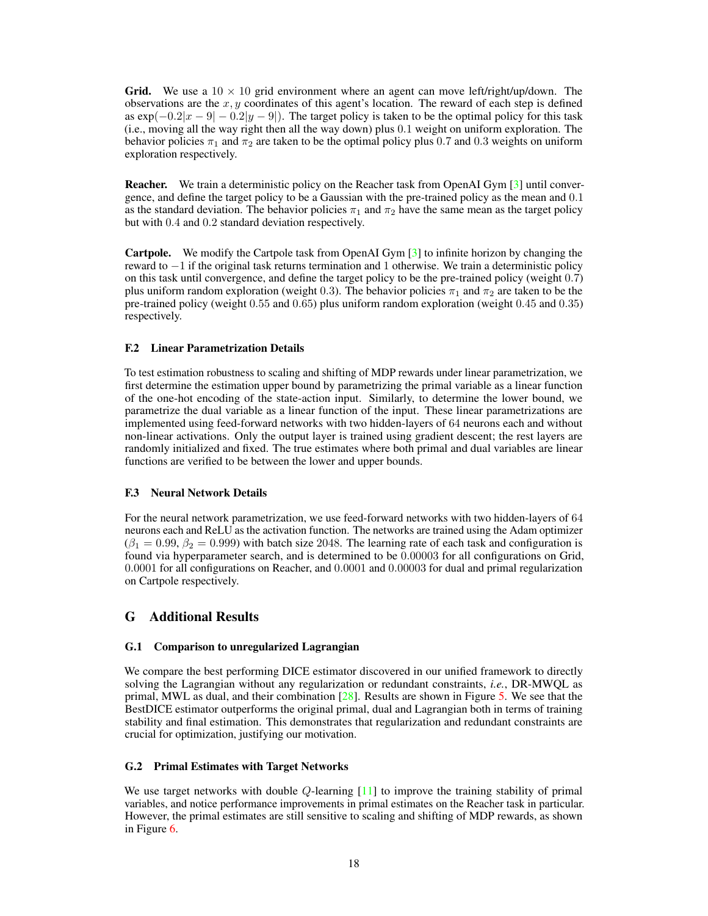**Grid.** We use a  $10 \times 10$  grid environment where an agent can move left/right/up/down. The observations are the x, y coordinates of this agent's location. The reward of each step is defined as  $\exp(-0.2|x-9| - 0.2|y-9|)$ . The target policy is taken to be the optimal policy for this task (i.e., moving all the way right then all the way down) plus 0.1 weight on uniform exploration. The behavior policies  $\pi_1$  and  $\pi_2$  are taken to be the optimal policy plus 0.7 and 0.3 weights on uniform exploration respectively.

**Reacher.** We train a deterministic policy on the Reacher task from OpenAI Gym [\[3\]](#page--1-8) until convergence, and define the target policy to be a Gaussian with the pre-trained policy as the mean and 0.1 as the standard deviation. The behavior policies  $\pi_1$  and  $\pi_2$  have the same mean as the target policy but with 0.4 and 0.2 standard deviation respectively.

Cartpole. We modify the Cartpole task from OpenAI Gym [\[3\]](#page--1-8) to infinite horizon by changing the reward to −1 if the original task returns termination and 1 otherwise. We train a deterministic policy on this task until convergence, and define the target policy to be the pre-trained policy (weight 0.7) plus uniform random exploration (weight 0.3). The behavior policies  $\pi_1$  and  $\pi_2$  are taken to be the pre-trained policy (weight 0.55 and 0.65) plus uniform random exploration (weight 0.45 and 0.35) respectively.

#### F.2 Linear Parametrization Details

To test estimation robustness to scaling and shifting of MDP rewards under linear parametrization, we first determine the estimation upper bound by parametrizing the primal variable as a linear function of the one-hot encoding of the state-action input. Similarly, to determine the lower bound, we parametrize the dual variable as a linear function of the input. These linear parametrizations are implemented using feed-forward networks with two hidden-layers of 64 neurons each and without non-linear activations. Only the output layer is trained using gradient descent; the rest layers are randomly initialized and fixed. The true estimates where both primal and dual variables are linear functions are verified to be between the lower and upper bounds.

#### F.3 Neural Network Details

For the neural network parametrization, we use feed-forward networks with two hidden-layers of 64 neurons each and ReLU as the activation function. The networks are trained using the Adam optimizer  $(\beta_1 = 0.99, \beta_2 = 0.999)$  with batch size 2048. The learning rate of each task and configuration is found via hyperparameter search, and is determined to be 0.00003 for all configurations on Grid, 0.0001 for all configurations on Reacher, and 0.0001 and 0.00003 for dual and primal regularization on Cartpole respectively.

# G Additional Results

#### G.1 Comparison to unregularized Lagrangian

We compare the best performing DICE estimator discovered in our unified framework to directly solving the Lagrangian without any regularization or redundant constraints, *i.e.*, DR-MWQL as primal, MWL as dual, and their combination  $[28]$ . Results are shown in Figure [5.](#page-7-0) We see that the BestDICE estimator outperforms the original primal, dual and Lagrangian both in terms of training stability and final estimation. This demonstrates that regularization and redundant constraints are crucial for optimization, justifying our motivation.

#### G.2 Primal Estimates with Target Networks

We use target networks with double  $Q$ -learning  $[11]$  to improve the training stability of primal variables, and notice performance improvements in primal estimates on the Reacher task in particular. However, the primal estimates are still sensitive to scaling and shifting of MDP rewards, as shown in Figure [6.](#page-7-1)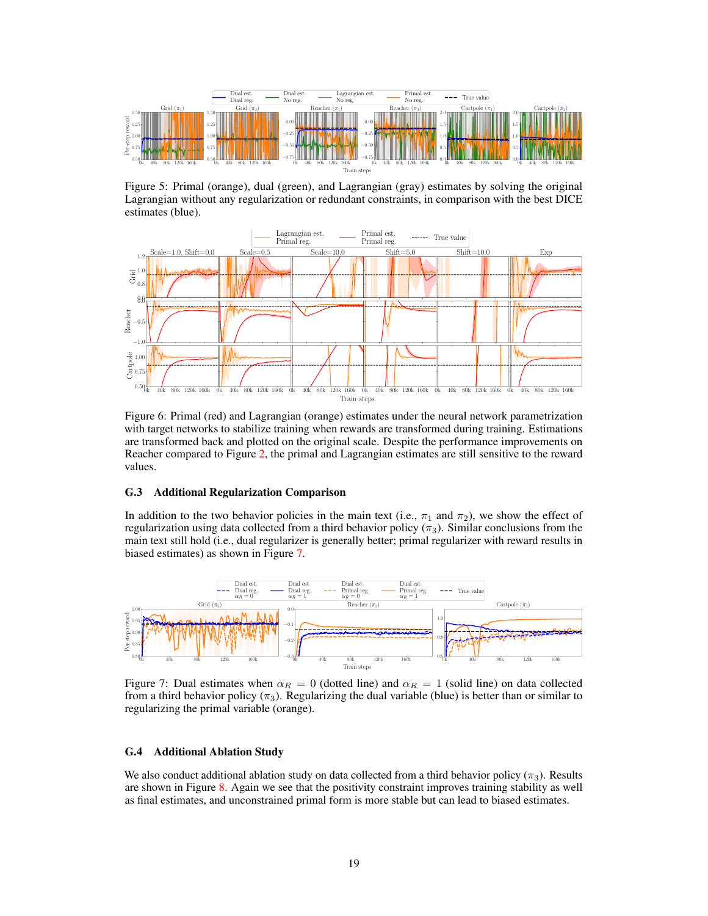<span id="page-7-0"></span>

Figure 5: Primal (orange), dual (green), and Lagrangian (gray) estimates by solving the original Lagrangian without any regularization or redundant constraints, in comparison with the best DICE estimates (blue).

<span id="page-7-1"></span>

Figure 6: Primal (red) and Lagrangian (orange) estimates under the neural network parametrization with target networks to stabilize training when rewards are transformed during training. Estimations are transformed back and plotted on the original scale. Despite the performance improvements on Reacher compared to Figure [2,](#page--1-11) the primal and Lagrangian estimates are still sensitive to the reward values.

#### G.3 Additional Regularization Comparison

In addition to the two behavior policies in the main text (i.e.,  $\pi_1$  and  $\pi_2$ ), we show the effect of regularization using data collected from a third behavior policy ( $\pi_3$ ). Similar conclusions from the main text still hold (i.e., dual regularizer is generally better; primal regularizer with reward results in biased estimates) as shown in Figure [7.](#page-7-2)

<span id="page-7-2"></span>

Figure 7: Dual estimates when  $\alpha_R = 0$  (dotted line) and  $\alpha_R = 1$  (solid line) on data collected from a third behavior policy ( $\pi_3$ ). Regularizing the dual variable (blue) is better than or similar to regularizing the primal variable (orange).

## G.4 Additional Ablation Study

We also conduct additional ablation study on data collected from a third behavior policy ( $\pi_3$ ). Results are shown in Figure [8.](#page-8-0) Again we see that the positivity constraint improves training stability as well as final estimates, and unconstrained primal form is more stable but can lead to biased estimates.